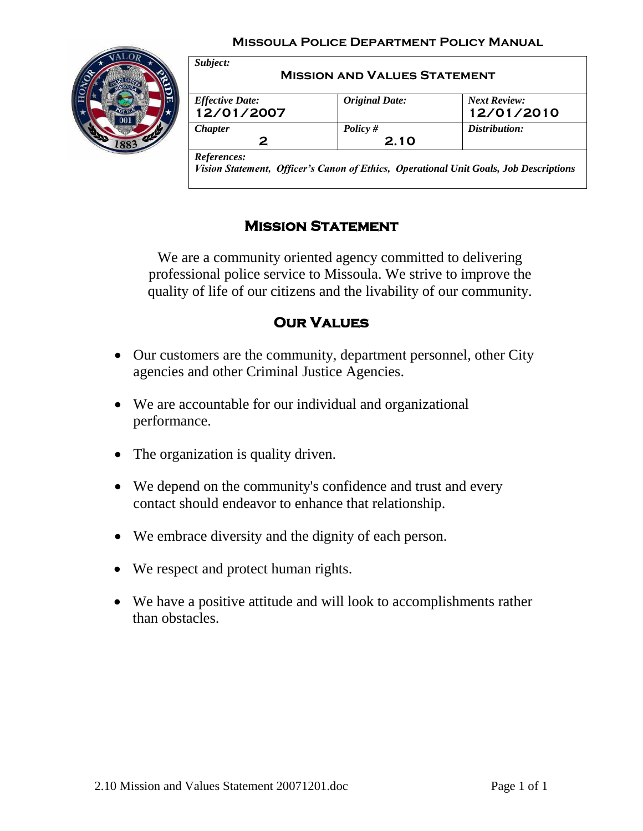#### **Missoula Police Department Policy Manual**



| <b>Effective Date:</b> | <b>Original Date:</b> | <b>Next Review:</b> |
|------------------------|-----------------------|---------------------|
|                        |                       |                     |
| 12/01/2007             |                       | 12/01/2010          |
| <b>Chapter</b>         | Policy $#$            | Distribution:       |
| 2                      | 2.10                  |                     |

# **Mission Statement**

We are a community oriented agency committed to delivering professional police service to Missoula. We strive to improve the quality of life of our citizens and the livability of our community.

# **Our Values**

- Our customers are the community, department personnel, other City agencies and other Criminal Justice Agencies.
- We are accountable for our individual and organizational performance.
- The organization is quality driven.
- We depend on the community's confidence and trust and every contact should endeavor to enhance that relationship.
- We embrace diversity and the dignity of each person.
- We respect and protect human rights.
- We have a positive attitude and will look to accomplishments rather than obstacles.